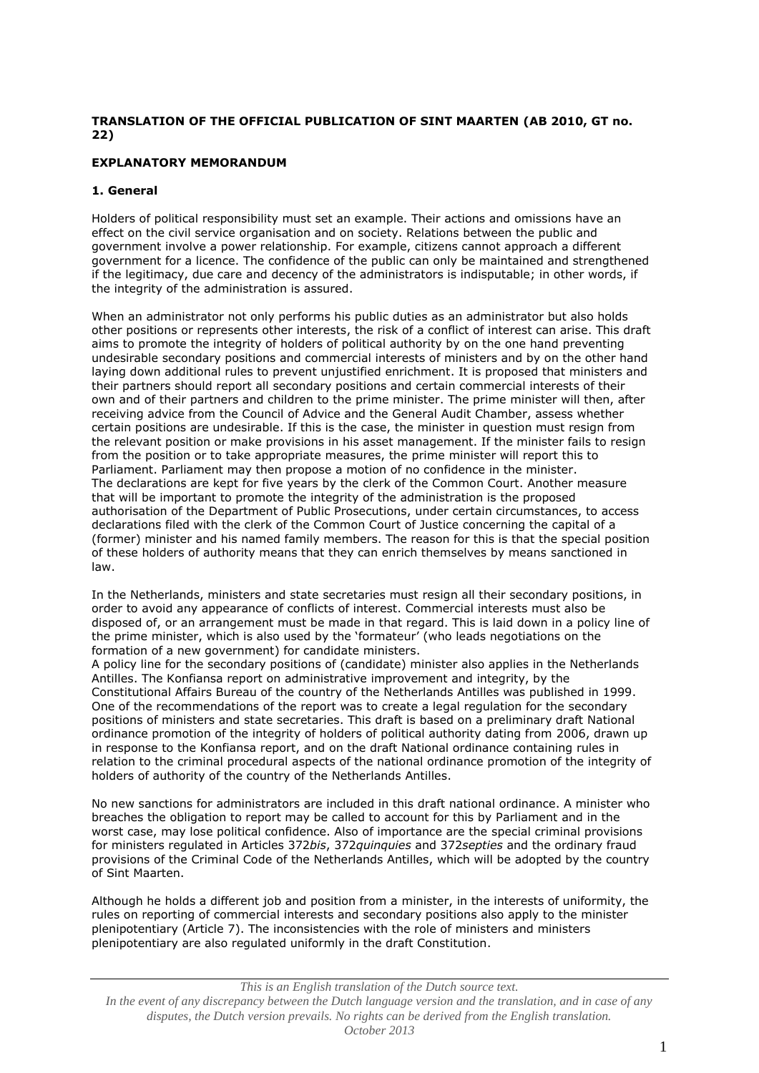# **TRANSLATION OF THE OFFICIAL PUBLICATION OF SINT MAARTEN (AB 2010, GT no. 22)**

# **EXPLANATORY MEMORANDUM**

# **1. General**

Holders of political responsibility must set an example. Their actions and omissions have an effect on the civil service organisation and on society. Relations between the public and government involve a power relationship. For example, citizens cannot approach a different government for a licence. The confidence of the public can only be maintained and strengthened if the legitimacy, due care and decency of the administrators is indisputable; in other words, if the integrity of the administration is assured.

When an administrator not only performs his public duties as an administrator but also holds other positions or represents other interests, the risk of a conflict of interest can arise. This draft aims to promote the integrity of holders of political authority by on the one hand preventing undesirable secondary positions and commercial interests of ministers and by on the other hand laying down additional rules to prevent unjustified enrichment. It is proposed that ministers and their partners should report all secondary positions and certain commercial interests of their own and of their partners and children to the prime minister. The prime minister will then, after receiving advice from the Council of Advice and the General Audit Chamber, assess whether certain positions are undesirable. If this is the case, the minister in question must resign from the relevant position or make provisions in his asset management. If the minister fails to resign from the position or to take appropriate measures, the prime minister will report this to Parliament. Parliament may then propose a motion of no confidence in the minister. The declarations are kept for five years by the clerk of the Common Court. Another measure that will be important to promote the integrity of the administration is the proposed authorisation of the Department of Public Prosecutions, under certain circumstances, to access declarations filed with the clerk of the Common Court of Justice concerning the capital of a (former) minister and his named family members. The reason for this is that the special position of these holders of authority means that they can enrich themselves by means sanctioned in law.

In the Netherlands, ministers and state secretaries must resign all their secondary positions, in order to avoid any appearance of conflicts of interest. Commercial interests must also be disposed of, or an arrangement must be made in that regard. This is laid down in a policy line of the prime minister, which is also used by the 'formateur' (who leads negotiations on the formation of a new government) for candidate ministers.

A policy line for the secondary positions of (candidate) minister also applies in the Netherlands Antilles. The Konfiansa report on administrative improvement and integrity, by the Constitutional Affairs Bureau of the country of the Netherlands Antilles was published in 1999. One of the recommendations of the report was to create a legal regulation for the secondary positions of ministers and state secretaries. This draft is based on a preliminary draft National ordinance promotion of the integrity of holders of political authority dating from 2006, drawn up in response to the Konfiansa report, and on the draft National ordinance containing rules in relation to the criminal procedural aspects of the national ordinance promotion of the integrity of holders of authority of the country of the Netherlands Antilles.

No new sanctions for administrators are included in this draft national ordinance. A minister who breaches the obligation to report may be called to account for this by Parliament and in the worst case, may lose political confidence. Also of importance are the special criminal provisions for ministers regulated in Articles 372*bis*, 372*quinquies* and 372*septies* and the ordinary fraud provisions of the Criminal Code of the Netherlands Antilles, which will be adopted by the country of Sint Maarten.

Although he holds a different job and position from a minister, in the interests of uniformity, the rules on reporting of commercial interests and secondary positions also apply to the minister plenipotentiary (Article 7). The inconsistencies with the role of ministers and ministers plenipotentiary are also regulated uniformly in the draft Constitution.

#### *This is an English translation of the Dutch source text. In the event of any discrepancy between the Dutch language version and the translation, and in case of any disputes, the Dutch version prevails. No rights can be derived from the English translation. October 2013*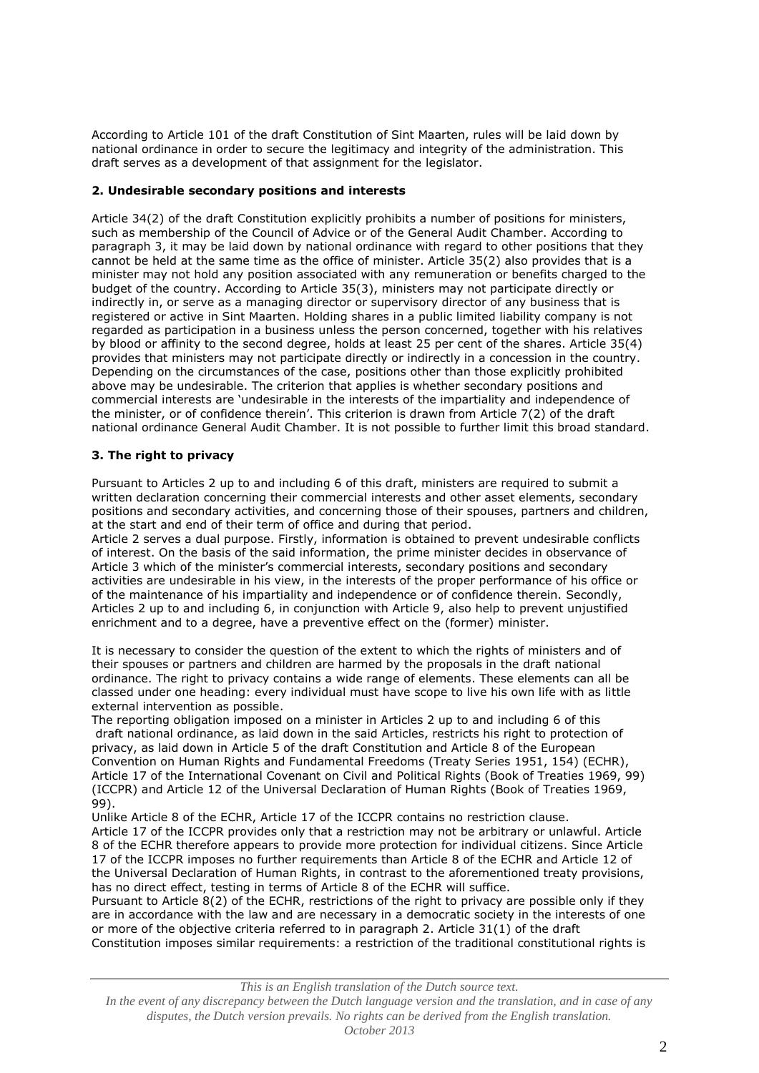According to Article 101 of the draft Constitution of Sint Maarten, rules will be laid down by national ordinance in order to secure the legitimacy and integrity of the administration. This draft serves as a development of that assignment for the legislator.

# **2. Undesirable secondary positions and interests**

Article 34(2) of the draft Constitution explicitly prohibits a number of positions for ministers, such as membership of the Council of Advice or of the General Audit Chamber. According to paragraph 3, it may be laid down by national ordinance with regard to other positions that they cannot be held at the same time as the office of minister. Article 35(2) also provides that is a minister may not hold any position associated with any remuneration or benefits charged to the budget of the country. According to Article 35(3), ministers may not participate directly or indirectly in, or serve as a managing director or supervisory director of any business that is registered or active in Sint Maarten. Holding shares in a public limited liability company is not regarded as participation in a business unless the person concerned, together with his relatives by blood or affinity to the second degree, holds at least 25 per cent of the shares. Article 35(4) provides that ministers may not participate directly or indirectly in a concession in the country. Depending on the circumstances of the case, positions other than those explicitly prohibited above may be undesirable. The criterion that applies is whether secondary positions and commercial interests are 'undesirable in the interests of the impartiality and independence of the minister, or of confidence therein'. This criterion is drawn from Article 7(2) of the draft national ordinance General Audit Chamber. It is not possible to further limit this broad standard.

# **3. The right to privacy**

Pursuant to Articles 2 up to and including 6 of this draft, ministers are required to submit a written declaration concerning their commercial interests and other asset elements, secondary positions and secondary activities, and concerning those of their spouses, partners and children, at the start and end of their term of office and during that period.

Article 2 serves a dual purpose. Firstly, information is obtained to prevent undesirable conflicts of interest. On the basis of the said information, the prime minister decides in observance of Article 3 which of the minister's commercial interests, secondary positions and secondary activities are undesirable in his view, in the interests of the proper performance of his office or of the maintenance of his impartiality and independence or of confidence therein. Secondly, Articles 2 up to and including 6, in conjunction with Article 9, also help to prevent unjustified enrichment and to a degree, have a preventive effect on the (former) minister.

It is necessary to consider the question of the extent to which the rights of ministers and of their spouses or partners and children are harmed by the proposals in the draft national ordinance. The right to privacy contains a wide range of elements. These elements can all be classed under one heading: every individual must have scope to live his own life with as little external intervention as possible.

The reporting obligation imposed on a minister in Articles 2 up to and including 6 of this draft national ordinance, as laid down in the said Articles, restricts his right to protection of privacy, as laid down in Article 5 of the draft Constitution and Article 8 of the European Convention on Human Rights and Fundamental Freedoms (Treaty Series 1951, 154) (ECHR), Article 17 of the International Covenant on Civil and Political Rights (Book of Treaties 1969, 99) (ICCPR) and Article 12 of the Universal Declaration of Human Rights (Book of Treaties 1969, 99).

Unlike Article 8 of the ECHR, Article 17 of the ICCPR contains no restriction clause. Article 17 of the ICCPR provides only that a restriction may not be arbitrary or unlawful. Article 8 of the ECHR therefore appears to provide more protection for individual citizens. Since Article 17 of the ICCPR imposes no further requirements than Article 8 of the ECHR and Article 12 of the Universal Declaration of Human Rights, in contrast to the aforementioned treaty provisions, has no direct effect, testing in terms of Article 8 of the ECHR will suffice.

Pursuant to Article 8(2) of the ECHR, restrictions of the right to privacy are possible only if they are in accordance with the law and are necessary in a democratic society in the interests of one or more of the objective criteria referred to in paragraph 2. Article 31(1) of the draft Constitution imposes similar requirements: a restriction of the traditional constitutional rights is

*This is an English translation of the Dutch source text.*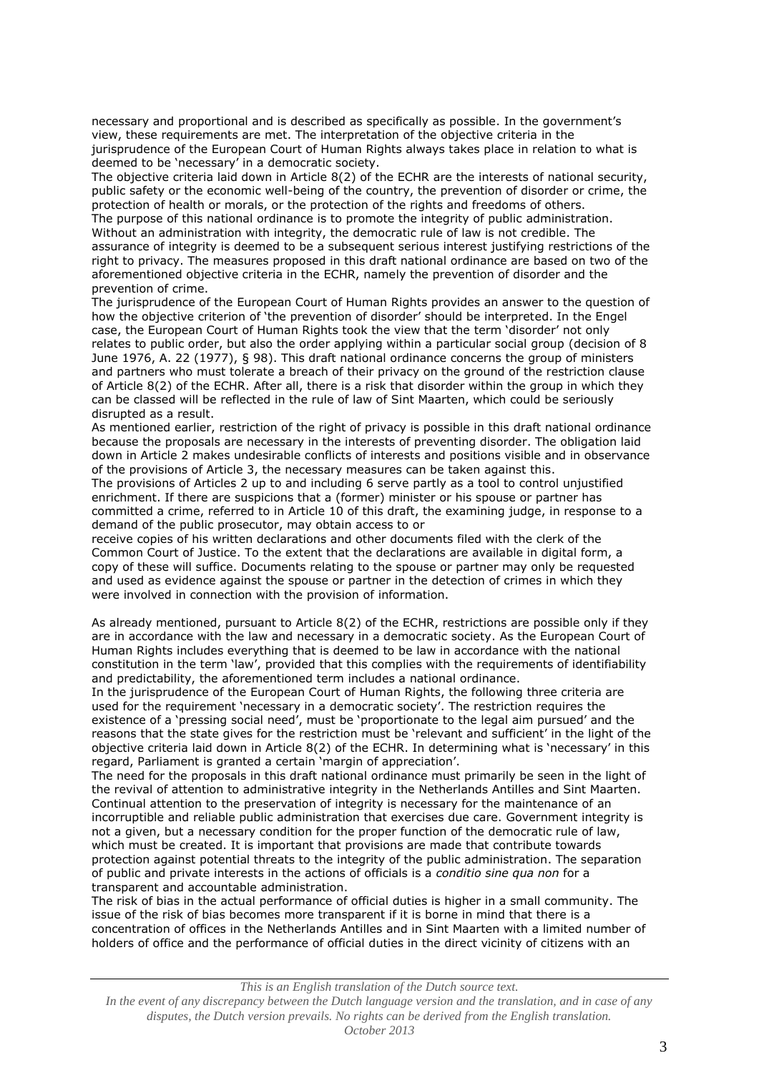necessary and proportional and is described as specifically as possible. In the government's view, these requirements are met. The interpretation of the objective criteria in the jurisprudence of the European Court of Human Rights always takes place in relation to what is deemed to be 'necessary' in a democratic society.

The objective criteria laid down in Article 8(2) of the ECHR are the interests of national security, public safety or the economic well-being of the country, the prevention of disorder or crime, the protection of health or morals, or the protection of the rights and freedoms of others. The purpose of this national ordinance is to promote the integrity of public administration. Without an administration with integrity, the democratic rule of law is not credible. The assurance of integrity is deemed to be a subsequent serious interest justifying restrictions of the right to privacy. The measures proposed in this draft national ordinance are based on two of the aforementioned objective criteria in the ECHR, namely the prevention of disorder and the prevention of crime.

The jurisprudence of the European Court of Human Rights provides an answer to the question of how the objective criterion of 'the prevention of disorder' should be interpreted. In the Engel case, the European Court of Human Rights took the view that the term 'disorder' not only relates to public order, but also the order applying within a particular social group (decision of 8 June 1976, A. 22 (1977), § 98). This draft national ordinance concerns the group of ministers and partners who must tolerate a breach of their privacy on the ground of the restriction clause of Article 8(2) of the ECHR. After all, there is a risk that disorder within the group in which they can be classed will be reflected in the rule of law of Sint Maarten, which could be seriously disrupted as a result.

As mentioned earlier, restriction of the right of privacy is possible in this draft national ordinance because the proposals are necessary in the interests of preventing disorder. The obligation laid down in Article 2 makes undesirable conflicts of interests and positions visible and in observance of the provisions of Article 3, the necessary measures can be taken against this.

The provisions of Articles 2 up to and including 6 serve partly as a tool to control unjustified enrichment. If there are suspicions that a (former) minister or his spouse or partner has committed a crime, referred to in Article 10 of this draft, the examining judge, in response to a demand of the public prosecutor, may obtain access to or

receive copies of his written declarations and other documents filed with the clerk of the Common Court of Justice. To the extent that the declarations are available in digital form, a copy of these will suffice. Documents relating to the spouse or partner may only be requested and used as evidence against the spouse or partner in the detection of crimes in which they were involved in connection with the provision of information.

As already mentioned, pursuant to Article 8(2) of the ECHR, restrictions are possible only if they are in accordance with the law and necessary in a democratic society. As the European Court of Human Rights includes everything that is deemed to be law in accordance with the national constitution in the term 'law', provided that this complies with the requirements of identifiability and predictability, the aforementioned term includes a national ordinance.

In the jurisprudence of the European Court of Human Rights, the following three criteria are used for the requirement 'necessary in a democratic society'. The restriction requires the existence of a 'pressing social need', must be 'proportionate to the legal aim pursued' and the reasons that the state gives for the restriction must be 'relevant and sufficient' in the light of the objective criteria laid down in Article 8(2) of the ECHR. In determining what is 'necessary' in this regard, Parliament is granted a certain 'margin of appreciation'.

The need for the proposals in this draft national ordinance must primarily be seen in the light of the revival of attention to administrative integrity in the Netherlands Antilles and Sint Maarten. Continual attention to the preservation of integrity is necessary for the maintenance of an incorruptible and reliable public administration that exercises due care. Government integrity is not a given, but a necessary condition for the proper function of the democratic rule of law, which must be created. It is important that provisions are made that contribute towards protection against potential threats to the integrity of the public administration. The separation of public and private interests in the actions of officials is a *conditio sine qua non* for a transparent and accountable administration.

The risk of bias in the actual performance of official duties is higher in a small community. The issue of the risk of bias becomes more transparent if it is borne in mind that there is a concentration of offices in the Netherlands Antilles and in Sint Maarten with a limited number of holders of office and the performance of official duties in the direct vicinity of citizens with an

#### *This is an English translation of the Dutch source text.*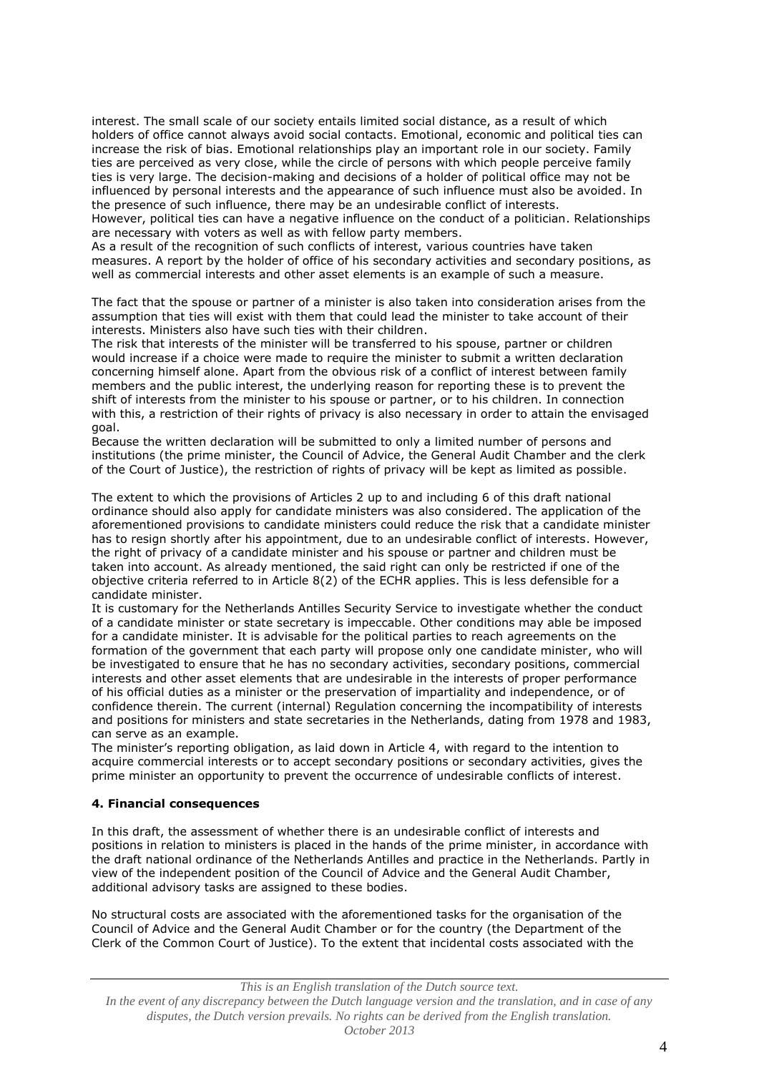interest. The small scale of our society entails limited social distance, as a result of which holders of office cannot always avoid social contacts. Emotional, economic and political ties can increase the risk of bias. Emotional relationships play an important role in our society. Family ties are perceived as very close, while the circle of persons with which people perceive family ties is very large. The decision-making and decisions of a holder of political office may not be influenced by personal interests and the appearance of such influence must also be avoided. In the presence of such influence, there may be an undesirable conflict of interests.

However, political ties can have a negative influence on the conduct of a politician. Relationships are necessary with voters as well as with fellow party members.

As a result of the recognition of such conflicts of interest, various countries have taken measures. A report by the holder of office of his secondary activities and secondary positions, as well as commercial interests and other asset elements is an example of such a measure.

The fact that the spouse or partner of a minister is also taken into consideration arises from the assumption that ties will exist with them that could lead the minister to take account of their interests. Ministers also have such ties with their children.

The risk that interests of the minister will be transferred to his spouse, partner or children would increase if a choice were made to require the minister to submit a written declaration concerning himself alone. Apart from the obvious risk of a conflict of interest between family members and the public interest, the underlying reason for reporting these is to prevent the shift of interests from the minister to his spouse or partner, or to his children. In connection with this, a restriction of their rights of privacy is also necessary in order to attain the envisaged goal.

Because the written declaration will be submitted to only a limited number of persons and institutions (the prime minister, the Council of Advice, the General Audit Chamber and the clerk of the Court of Justice), the restriction of rights of privacy will be kept as limited as possible.

The extent to which the provisions of Articles 2 up to and including 6 of this draft national ordinance should also apply for candidate ministers was also considered. The application of the aforementioned provisions to candidate ministers could reduce the risk that a candidate minister has to resign shortly after his appointment, due to an undesirable conflict of interests. However, the right of privacy of a candidate minister and his spouse or partner and children must be taken into account. As already mentioned, the said right can only be restricted if one of the objective criteria referred to in Article 8(2) of the ECHR applies. This is less defensible for a candidate minister.

It is customary for the Netherlands Antilles Security Service to investigate whether the conduct of a candidate minister or state secretary is impeccable. Other conditions may able be imposed for a candidate minister. It is advisable for the political parties to reach agreements on the formation of the government that each party will propose only one candidate minister, who will be investigated to ensure that he has no secondary activities, secondary positions, commercial interests and other asset elements that are undesirable in the interests of proper performance of his official duties as a minister or the preservation of impartiality and independence, or of confidence therein. The current (internal) Regulation concerning the incompatibility of interests and positions for ministers and state secretaries in the Netherlands, dating from 1978 and 1983, can serve as an example.

The minister's reporting obligation, as laid down in Article 4, with regard to the intention to acquire commercial interests or to accept secondary positions or secondary activities, gives the prime minister an opportunity to prevent the occurrence of undesirable conflicts of interest.

## **4. Financial consequences**

In this draft, the assessment of whether there is an undesirable conflict of interests and positions in relation to ministers is placed in the hands of the prime minister, in accordance with the draft national ordinance of the Netherlands Antilles and practice in the Netherlands. Partly in view of the independent position of the Council of Advice and the General Audit Chamber, additional advisory tasks are assigned to these bodies.

No structural costs are associated with the aforementioned tasks for the organisation of the Council of Advice and the General Audit Chamber or for the country (the Department of the Clerk of the Common Court of Justice). To the extent that incidental costs associated with the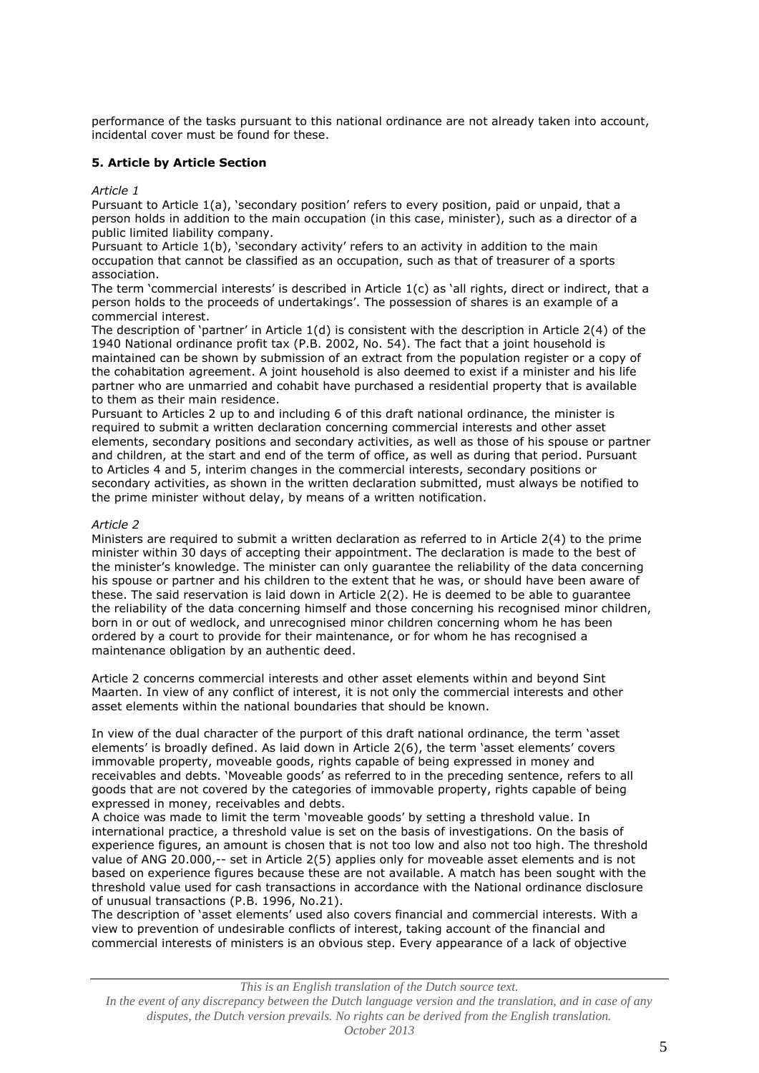performance of the tasks pursuant to this national ordinance are not already taken into account, incidental cover must be found for these.

## **5. Article by Article Section**

#### *Article 1*

Pursuant to Article 1(a), 'secondary position' refers to every position, paid or unpaid, that a person holds in addition to the main occupation (in this case, minister), such as a director of a public limited liability company.

Pursuant to Article 1(b), 'secondary activity' refers to an activity in addition to the main occupation that cannot be classified as an occupation, such as that of treasurer of a sports association.

The term 'commercial interests' is described in Article 1(c) as 'all rights, direct or indirect, that a person holds to the proceeds of undertakings'. The possession of shares is an example of a commercial interest.

The description of 'partner' in Article 1(d) is consistent with the description in Article 2(4) of the 1940 National ordinance profit tax (P.B. 2002, No. 54). The fact that a joint household is maintained can be shown by submission of an extract from the population register or a copy of the cohabitation agreement. A joint household is also deemed to exist if a minister and his life partner who are unmarried and cohabit have purchased a residential property that is available to them as their main residence.

Pursuant to Articles 2 up to and including 6 of this draft national ordinance, the minister is required to submit a written declaration concerning commercial interests and other asset elements, secondary positions and secondary activities, as well as those of his spouse or partner and children, at the start and end of the term of office, as well as during that period. Pursuant to Articles 4 and 5, interim changes in the commercial interests, secondary positions or secondary activities, as shown in the written declaration submitted, must always be notified to the prime minister without delay, by means of a written notification.

## *Article 2*

Ministers are required to submit a written declaration as referred to in Article 2(4) to the prime minister within 30 days of accepting their appointment. The declaration is made to the best of the minister's knowledge. The minister can only guarantee the reliability of the data concerning his spouse or partner and his children to the extent that he was, or should have been aware of these. The said reservation is laid down in Article 2(2). He is deemed to be able to guarantee the reliability of the data concerning himself and those concerning his recognised minor children, born in or out of wedlock, and unrecognised minor children concerning whom he has been ordered by a court to provide for their maintenance, or for whom he has recognised a maintenance obligation by an authentic deed.

Article 2 concerns commercial interests and other asset elements within and beyond Sint Maarten. In view of any conflict of interest, it is not only the commercial interests and other asset elements within the national boundaries that should be known.

In view of the dual character of the purport of this draft national ordinance, the term 'asset elements' is broadly defined. As laid down in Article 2(6), the term 'asset elements' covers immovable property, moveable goods, rights capable of being expressed in money and receivables and debts. 'Moveable goods' as referred to in the preceding sentence, refers to all goods that are not covered by the categories of immovable property, rights capable of being expressed in money, receivables and debts.

A choice was made to limit the term 'moveable goods' by setting a threshold value. In international practice, a threshold value is set on the basis of investigations. On the basis of experience figures, an amount is chosen that is not too low and also not too high. The threshold value of ANG 20.000,-- set in Article 2(5) applies only for moveable asset elements and is not based on experience figures because these are not available. A match has been sought with the threshold value used for cash transactions in accordance with the National ordinance disclosure of unusual transactions (P.B. 1996, No.21).

The description of 'asset elements' used also covers financial and commercial interests. With a view to prevention of undesirable conflicts of interest, taking account of the financial and commercial interests of ministers is an obvious step. Every appearance of a lack of objective

#### *This is an English translation of the Dutch source text.*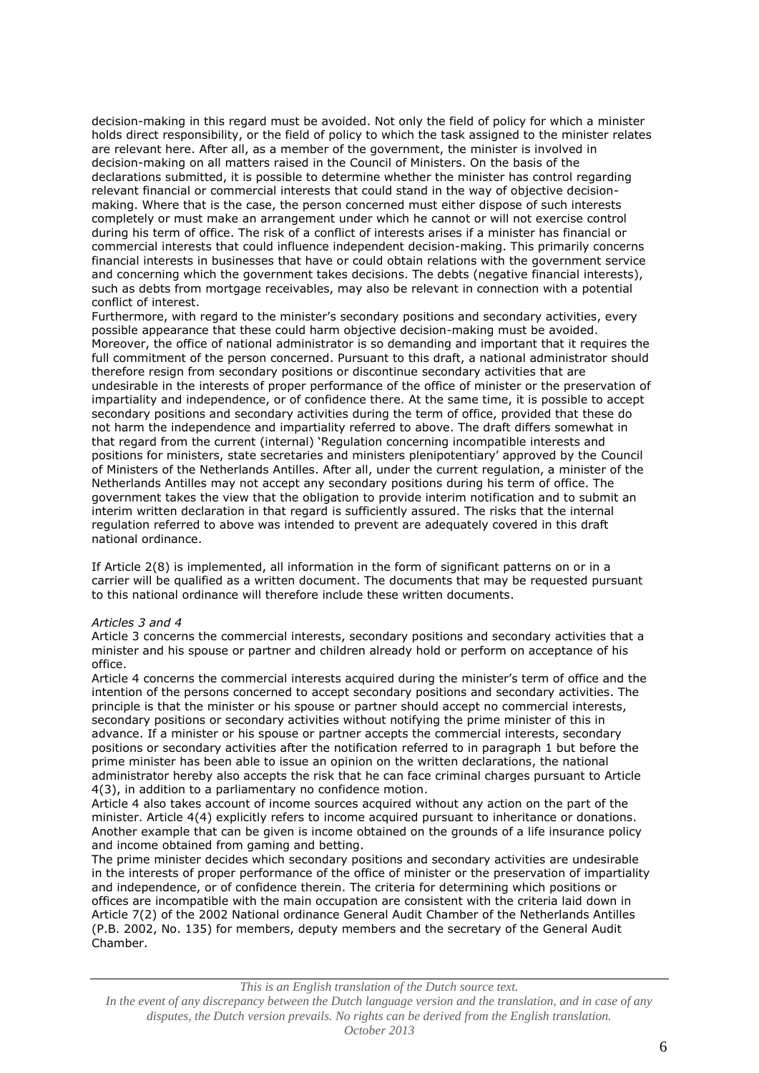decision-making in this regard must be avoided. Not only the field of policy for which a minister holds direct responsibility, or the field of policy to which the task assigned to the minister relates are relevant here. After all, as a member of the government, the minister is involved in decision-making on all matters raised in the Council of Ministers. On the basis of the declarations submitted, it is possible to determine whether the minister has control regarding relevant financial or commercial interests that could stand in the way of objective decisionmaking. Where that is the case, the person concerned must either dispose of such interests completely or must make an arrangement under which he cannot or will not exercise control during his term of office. The risk of a conflict of interests arises if a minister has financial or commercial interests that could influence independent decision-making. This primarily concerns financial interests in businesses that have or could obtain relations with the government service and concerning which the government takes decisions. The debts (negative financial interests), such as debts from mortgage receivables, may also be relevant in connection with a potential conflict of interest.

Furthermore, with regard to the minister's secondary positions and secondary activities, every possible appearance that these could harm objective decision-making must be avoided. Moreover, the office of national administrator is so demanding and important that it requires the full commitment of the person concerned. Pursuant to this draft, a national administrator should therefore resign from secondary positions or discontinue secondary activities that are undesirable in the interests of proper performance of the office of minister or the preservation of impartiality and independence, or of confidence there. At the same time, it is possible to accept secondary positions and secondary activities during the term of office, provided that these do not harm the independence and impartiality referred to above. The draft differs somewhat in that regard from the current (internal) 'Regulation concerning incompatible interests and positions for ministers, state secretaries and ministers plenipotentiary' approved by the Council of Ministers of the Netherlands Antilles. After all, under the current regulation, a minister of the Netherlands Antilles may not accept any secondary positions during his term of office. The government takes the view that the obligation to provide interim notification and to submit an interim written declaration in that regard is sufficiently assured. The risks that the internal regulation referred to above was intended to prevent are adequately covered in this draft national ordinance.

If Article 2(8) is implemented, all information in the form of significant patterns on or in a carrier will be qualified as a written document. The documents that may be requested pursuant to this national ordinance will therefore include these written documents.

## *Articles 3 and 4*

Article 3 concerns the commercial interests, secondary positions and secondary activities that a minister and his spouse or partner and children already hold or perform on acceptance of his office.

Article 4 concerns the commercial interests acquired during the minister's term of office and the intention of the persons concerned to accept secondary positions and secondary activities. The principle is that the minister or his spouse or partner should accept no commercial interests, secondary positions or secondary activities without notifying the prime minister of this in advance. If a minister or his spouse or partner accepts the commercial interests, secondary positions or secondary activities after the notification referred to in paragraph 1 but before the prime minister has been able to issue an opinion on the written declarations, the national administrator hereby also accepts the risk that he can face criminal charges pursuant to Article 4(3), in addition to a parliamentary no confidence motion.

Article 4 also takes account of income sources acquired without any action on the part of the minister. Article 4(4) explicitly refers to income acquired pursuant to inheritance or donations. Another example that can be given is income obtained on the grounds of a life insurance policy and income obtained from gaming and betting.

The prime minister decides which secondary positions and secondary activities are undesirable in the interests of proper performance of the office of minister or the preservation of impartiality and independence, or of confidence therein. The criteria for determining which positions or offices are incompatible with the main occupation are consistent with the criteria laid down in Article 7(2) of the 2002 National ordinance General Audit Chamber of the Netherlands Antilles (P.B. 2002, No. 135) for members, deputy members and the secretary of the General Audit Chamber.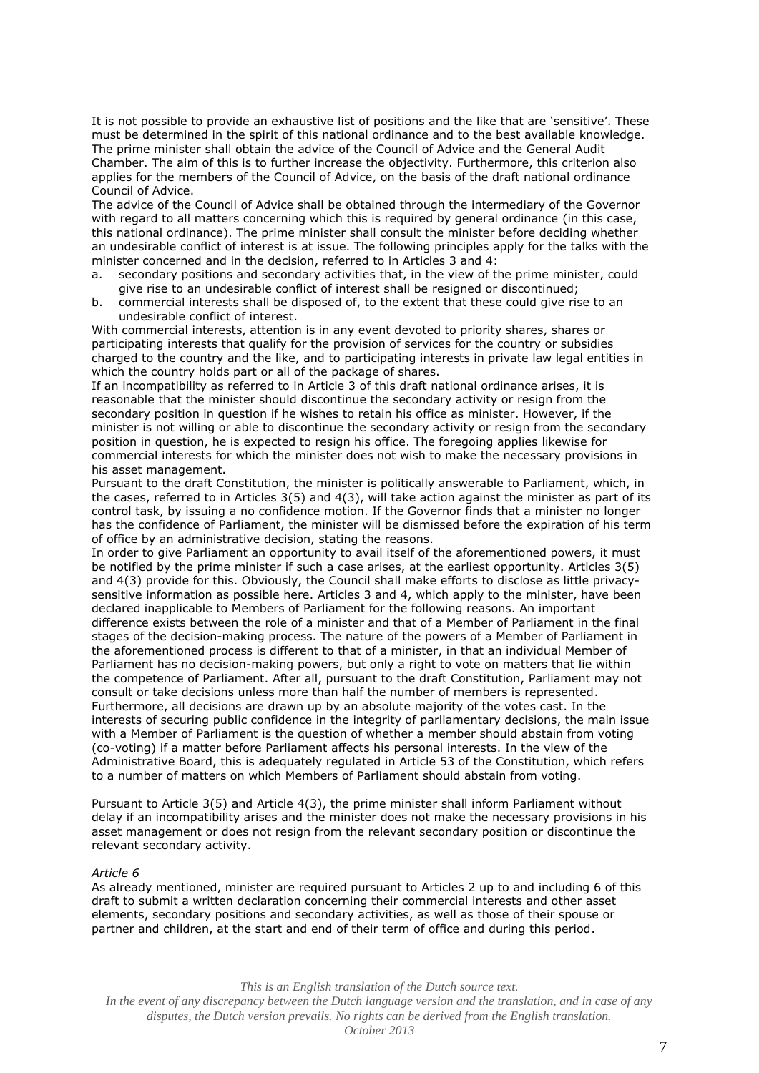It is not possible to provide an exhaustive list of positions and the like that are 'sensitive'. These must be determined in the spirit of this national ordinance and to the best available knowledge. The prime minister shall obtain the advice of the Council of Advice and the General Audit Chamber. The aim of this is to further increase the objectivity. Furthermore, this criterion also applies for the members of the Council of Advice, on the basis of the draft national ordinance Council of Advice.

The advice of the Council of Advice shall be obtained through the intermediary of the Governor with regard to all matters concerning which this is required by general ordinance (in this case, this national ordinance). The prime minister shall consult the minister before deciding whether an undesirable conflict of interest is at issue. The following principles apply for the talks with the minister concerned and in the decision, referred to in Articles 3 and 4:

- a. secondary positions and secondary activities that, in the view of the prime minister, could give rise to an undesirable conflict of interest shall be resigned or discontinued;
- b. commercial interests shall be disposed of, to the extent that these could give rise to an undesirable conflict of interest.

With commercial interests, attention is in any event devoted to priority shares, shares or participating interests that qualify for the provision of services for the country or subsidies charged to the country and the like, and to participating interests in private law legal entities in which the country holds part or all of the package of shares.

If an incompatibility as referred to in Article 3 of this draft national ordinance arises, it is reasonable that the minister should discontinue the secondary activity or resign from the secondary position in question if he wishes to retain his office as minister. However, if the minister is not willing or able to discontinue the secondary activity or resign from the secondary position in question, he is expected to resign his office. The foregoing applies likewise for commercial interests for which the minister does not wish to make the necessary provisions in his asset management.

Pursuant to the draft Constitution, the minister is politically answerable to Parliament, which, in the cases, referred to in Articles 3(5) and 4(3), will take action against the minister as part of its control task, by issuing a no confidence motion. If the Governor finds that a minister no longer has the confidence of Parliament, the minister will be dismissed before the expiration of his term of office by an administrative decision, stating the reasons.

In order to give Parliament an opportunity to avail itself of the aforementioned powers, it must be notified by the prime minister if such a case arises, at the earliest opportunity. Articles 3(5) and 4(3) provide for this. Obviously, the Council shall make efforts to disclose as little privacysensitive information as possible here. Articles 3 and 4, which apply to the minister, have been declared inapplicable to Members of Parliament for the following reasons. An important difference exists between the role of a minister and that of a Member of Parliament in the final stages of the decision-making process. The nature of the powers of a Member of Parliament in the aforementioned process is different to that of a minister, in that an individual Member of Parliament has no decision-making powers, but only a right to vote on matters that lie within the competence of Parliament. After all, pursuant to the draft Constitution, Parliament may not consult or take decisions unless more than half the number of members is represented. Furthermore, all decisions are drawn up by an absolute majority of the votes cast. In the interests of securing public confidence in the integrity of parliamentary decisions, the main issue with a Member of Parliament is the question of whether a member should abstain from voting (co-voting) if a matter before Parliament affects his personal interests. In the view of the Administrative Board, this is adequately regulated in Article 53 of the Constitution, which refers to a number of matters on which Members of Parliament should abstain from voting.

Pursuant to Article 3(5) and Article 4(3), the prime minister shall inform Parliament without delay if an incompatibility arises and the minister does not make the necessary provisions in his asset management or does not resign from the relevant secondary position or discontinue the relevant secondary activity.

## *Article 6*

As already mentioned, minister are required pursuant to Articles 2 up to and including 6 of this draft to submit a written declaration concerning their commercial interests and other asset elements, secondary positions and secondary activities, as well as those of their spouse or partner and children, at the start and end of their term of office and during this period.

#### *This is an English translation of the Dutch source text.*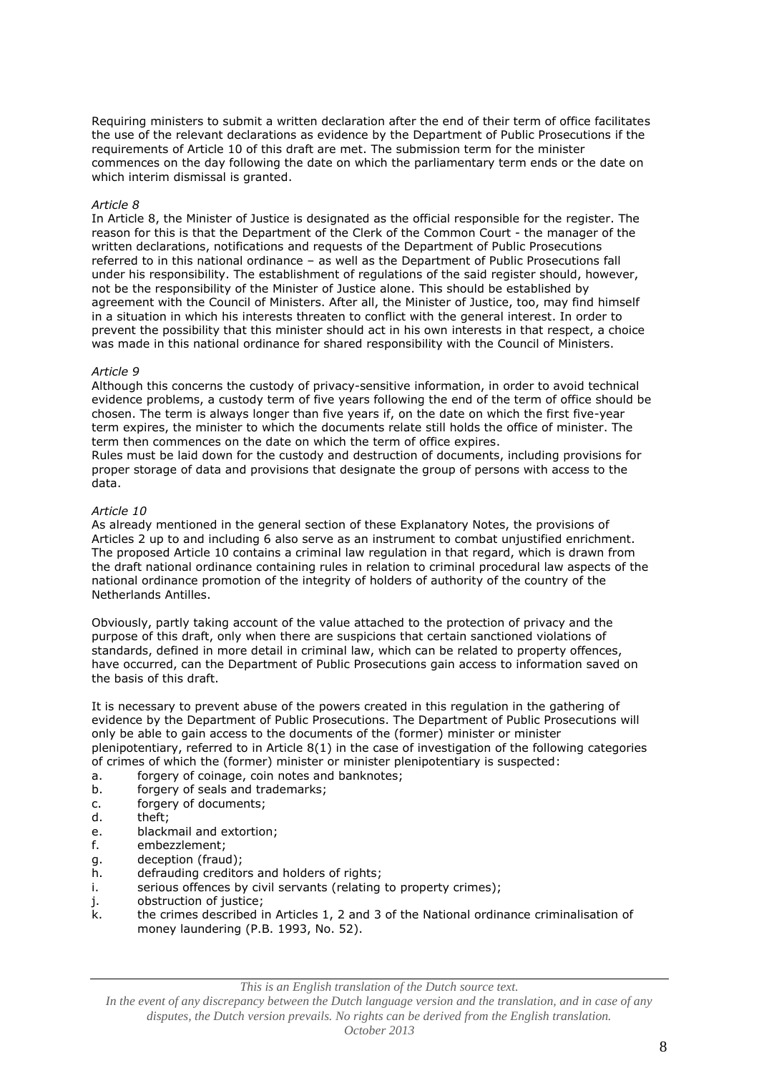Requiring ministers to submit a written declaration after the end of their term of office facilitates the use of the relevant declarations as evidence by the Department of Public Prosecutions if the requirements of Article 10 of this draft are met. The submission term for the minister commences on the day following the date on which the parliamentary term ends or the date on which interim dismissal is granted.

#### *Article 8*

In Article 8, the Minister of Justice is designated as the official responsible for the register. The reason for this is that the Department of the Clerk of the Common Court - the manager of the written declarations, notifications and requests of the Department of Public Prosecutions referred to in this national ordinance – as well as the Department of Public Prosecutions fall under his responsibility. The establishment of regulations of the said register should, however, not be the responsibility of the Minister of Justice alone. This should be established by agreement with the Council of Ministers. After all, the Minister of Justice, too, may find himself in a situation in which his interests threaten to conflict with the general interest. In order to prevent the possibility that this minister should act in his own interests in that respect, a choice was made in this national ordinance for shared responsibility with the Council of Ministers.

#### *Article 9*

Although this concerns the custody of privacy-sensitive information, in order to avoid technical evidence problems, a custody term of five years following the end of the term of office should be chosen. The term is always longer than five years if, on the date on which the first five-year term expires, the minister to which the documents relate still holds the office of minister. The term then commences on the date on which the term of office expires.

Rules must be laid down for the custody and destruction of documents, including provisions for proper storage of data and provisions that designate the group of persons with access to the data.

#### *Article 10*

As already mentioned in the general section of these Explanatory Notes, the provisions of Articles 2 up to and including 6 also serve as an instrument to combat unjustified enrichment. The proposed Article 10 contains a criminal law regulation in that regard, which is drawn from the draft national ordinance containing rules in relation to criminal procedural law aspects of the national ordinance promotion of the integrity of holders of authority of the country of the Netherlands Antilles.

Obviously, partly taking account of the value attached to the protection of privacy and the purpose of this draft, only when there are suspicions that certain sanctioned violations of standards, defined in more detail in criminal law, which can be related to property offences, have occurred, can the Department of Public Prosecutions gain access to information saved on the basis of this draft.

It is necessary to prevent abuse of the powers created in this regulation in the gathering of evidence by the Department of Public Prosecutions. The Department of Public Prosecutions will only be able to gain access to the documents of the (former) minister or minister plenipotentiary, referred to in Article 8(1) in the case of investigation of the following categories of crimes of which the (former) minister or minister plenipotentiary is suspected:

- a. forgery of coinage, coin notes and banknotes;
- b. forgery of seals and trademarks;
- c. forgery of documents;
- d. theft;
- e. blackmail and extortion;
- f. embezzlement;
- g. deception (fraud);
- h. defrauding creditors and holders of rights;
- i. serious offences by civil servants (relating to property crimes);
- j. obstruction of justice;
- k. the crimes described in Articles 1, 2 and 3 of the National ordinance criminalisation of money laundering (P.B. 1993, No. 52).

*This is an English translation of the Dutch source text.*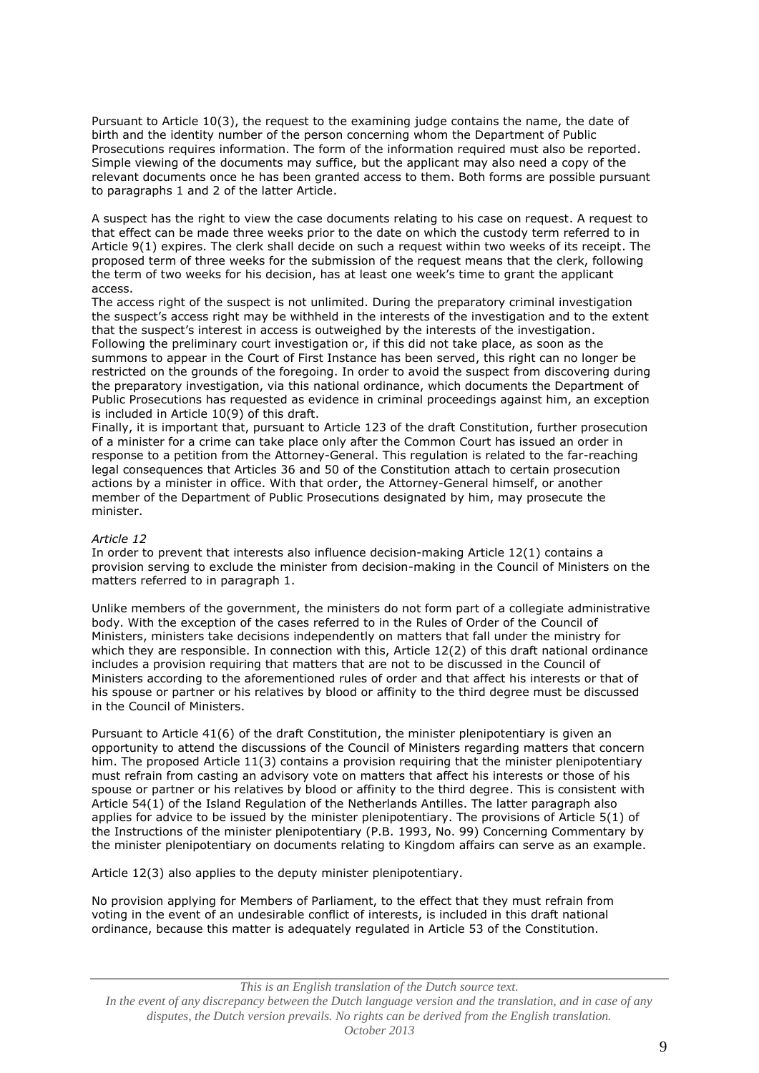Pursuant to Article 10(3), the request to the examining judge contains the name, the date of birth and the identity number of the person concerning whom the Department of Public Prosecutions requires information. The form of the information required must also be reported. Simple viewing of the documents may suffice, but the applicant may also need a copy of the relevant documents once he has been granted access to them. Both forms are possible pursuant to paragraphs 1 and 2 of the latter Article.

A suspect has the right to view the case documents relating to his case on request. A request to that effect can be made three weeks prior to the date on which the custody term referred to in Article 9(1) expires. The clerk shall decide on such a request within two weeks of its receipt. The proposed term of three weeks for the submission of the request means that the clerk, following the term of two weeks for his decision, has at least one week's time to grant the applicant access.

The access right of the suspect is not unlimited. During the preparatory criminal investigation the suspect's access right may be withheld in the interests of the investigation and to the extent that the suspect's interest in access is outweighed by the interests of the investigation. Following the preliminary court investigation or, if this did not take place, as soon as the summons to appear in the Court of First Instance has been served, this right can no longer be restricted on the grounds of the foregoing. In order to avoid the suspect from discovering during the preparatory investigation, via this national ordinance, which documents the Department of Public Prosecutions has requested as evidence in criminal proceedings against him, an exception is included in Article 10(9) of this draft.

Finally, it is important that, pursuant to Article 123 of the draft Constitution, further prosecution of a minister for a crime can take place only after the Common Court has issued an order in response to a petition from the Attorney-General. This regulation is related to the far-reaching legal consequences that Articles 36 and 50 of the Constitution attach to certain prosecution actions by a minister in office. With that order, the Attorney-General himself, or another member of the Department of Public Prosecutions designated by him, may prosecute the minister.

## *Article 12*

In order to prevent that interests also influence decision-making Article 12(1) contains a provision serving to exclude the minister from decision-making in the Council of Ministers on the matters referred to in paragraph 1.

Unlike members of the government, the ministers do not form part of a collegiate administrative body. With the exception of the cases referred to in the Rules of Order of the Council of Ministers, ministers take decisions independently on matters that fall under the ministry for which they are responsible. In connection with this, Article 12(2) of this draft national ordinance includes a provision requiring that matters that are not to be discussed in the Council of Ministers according to the aforementioned rules of order and that affect his interests or that of his spouse or partner or his relatives by blood or affinity to the third degree must be discussed in the Council of Ministers.

Pursuant to Article 41(6) of the draft Constitution, the minister plenipotentiary is given an opportunity to attend the discussions of the Council of Ministers regarding matters that concern him. The proposed Article 11(3) contains a provision requiring that the minister plenipotentiary must refrain from casting an advisory vote on matters that affect his interests or those of his spouse or partner or his relatives by blood or affinity to the third degree. This is consistent with Article 54(1) of the Island Regulation of the Netherlands Antilles. The latter paragraph also applies for advice to be issued by the minister plenipotentiary. The provisions of Article 5(1) of the Instructions of the minister plenipotentiary (P.B. 1993, No. 99) Concerning Commentary by the minister plenipotentiary on documents relating to Kingdom affairs can serve as an example.

Article 12(3) also applies to the deputy minister plenipotentiary.

No provision applying for Members of Parliament, to the effect that they must refrain from voting in the event of an undesirable conflict of interests, is included in this draft national ordinance, because this matter is adequately regulated in Article 53 of the Constitution.